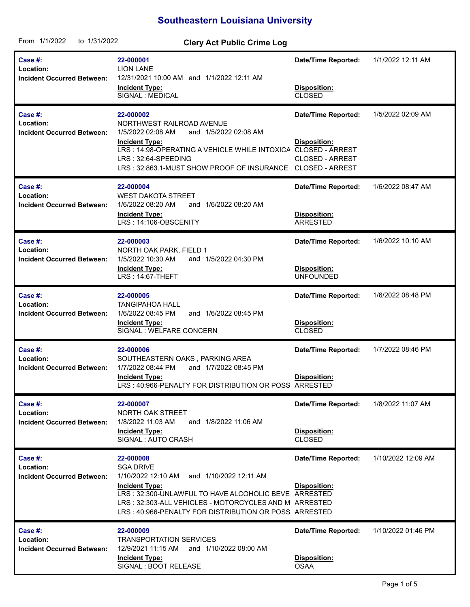## **Southeastern Louisiana University**

| From 1/1/2022<br>to 1/31/2022                             | <b>Clery Act Public Crime Log</b>                                                                                                                                                                                                                                             |                                                                      |                    |
|-----------------------------------------------------------|-------------------------------------------------------------------------------------------------------------------------------------------------------------------------------------------------------------------------------------------------------------------------------|----------------------------------------------------------------------|--------------------|
| Case #:<br>Location:<br><b>Incident Occurred Between:</b> | 22-000001<br><b>LION LANE</b><br>12/31/2021 10:00 AM and 1/1/2022 12:11 AM<br><b>Incident Type:</b><br>SIGNAL : MEDICAL                                                                                                                                                       | <b>Date/Time Reported:</b><br>Disposition:<br>CLOSED                 | 1/1/2022 12:11 AM  |
| Case #:<br>Location:<br><b>Incident Occurred Between:</b> | 22-000002<br>NORTHWEST RAILROAD AVENUE<br>1/5/2022 02:08 AM<br>and 1/5/2022 02:08 AM<br><b>Incident Type:</b><br>LRS: 14:98-OPERATING A VEHICLE WHILE INTOXICA CLOSED - ARREST<br>LRS: 32:64-SPEEDING<br>LRS: 32:863.1-MUST SHOW PROOF OF INSURANCE CLOSED - ARREST           | <b>Date/Time Reported:</b><br>Disposition:<br><b>CLOSED - ARREST</b> | 1/5/2022 02:09 AM  |
| Case #:<br>Location:<br><b>Incident Occurred Between:</b> | 22-000004<br><b>WEST DAKOTA STREET</b><br>1/6/2022 08:20 AM<br>and 1/6/2022 08:20 AM<br><b>Incident Type:</b><br>LRS: 14:106-OBSCENITY                                                                                                                                        | <b>Date/Time Reported:</b><br>Disposition:<br>ARRESTED               | 1/6/2022 08:47 AM  |
| Case #:<br>Location:<br><b>Incident Occurred Between:</b> | 22-000003<br>NORTH OAK PARK, FIELD 1<br>1/5/2022 10:30 AM<br>and 1/5/2022 04:30 PM<br><b>Incident Type:</b><br>LRS: 14:67-THEFT                                                                                                                                               | <b>Date/Time Reported:</b><br>Disposition:<br><b>UNFOUNDED</b>       | 1/6/2022 10:10 AM  |
| Case #:<br>Location:<br><b>Incident Occurred Between:</b> | 22-000005<br><b>TANGIPAHOA HALL</b><br>and 1/6/2022 08:45 PM<br>1/6/2022 08:45 PM<br><b>Incident Type:</b><br>SIGNAL : WELFARE CONCERN                                                                                                                                        | <b>Date/Time Reported:</b><br>Disposition:<br><b>CLOSED</b>          | 1/6/2022 08:48 PM  |
| Case #:<br>Location:<br><b>Incident Occurred Between:</b> | 22-000006<br>SOUTHEASTERN OAKS, PARKING AREA<br>1/7/2022 08:44 PM<br>and 1/7/2022 08:45 PM<br><b>Incident Type:</b><br>LRS: 40:966-PENALTY FOR DISTRIBUTION OR POSS ARRESTED                                                                                                  | <b>Date/Time Reported:</b><br>Disposition:                           | 1/7/2022 08:46 PM  |
| Case #:<br>Location:<br><b>Incident Occurred Between:</b> | 22-000007<br>NORTH OAK STREET<br>1/8/2022 11:03 AM<br>and 1/8/2022 11:06 AM<br><b>Incident Type:</b><br>SIGNAL: AUTO CRASH                                                                                                                                                    | <b>Date/Time Reported:</b><br><b>Disposition:</b><br><b>CLOSED</b>   | 1/8/2022 11:07 AM  |
| Case #:<br>Location:<br><b>Incident Occurred Between:</b> | 22-000008<br><b>SGA DRIVE</b><br>1/10/2022 12:10 AM and 1/10/2022 12:11 AM<br><b>Incident Type:</b><br>LRS: 32:300-UNLAWFUL TO HAVE ALCOHOLIC BEVE ARRESTED<br>LRS: 32:303-ALL VEHICLES - MOTORCYCLES AND M ARRESTED<br>LRS: 40:966-PENALTY FOR DISTRIBUTION OR POSS ARRESTED | <b>Date/Time Reported:</b><br>Disposition:                           | 1/10/2022 12:09 AM |
| Case #:<br>Location:<br><b>Incident Occurred Between:</b> | 22-000009<br><b>TRANSPORTATION SERVICES</b><br>12/9/2021 11:15 AM and 1/10/2022 08:00 AM<br><b>Incident Type:</b><br>SIGNAL : BOOT RELEASE                                                                                                                                    | <b>Date/Time Reported:</b><br>Disposition:<br><b>OSAA</b>            | 1/10/2022 01:46 PM |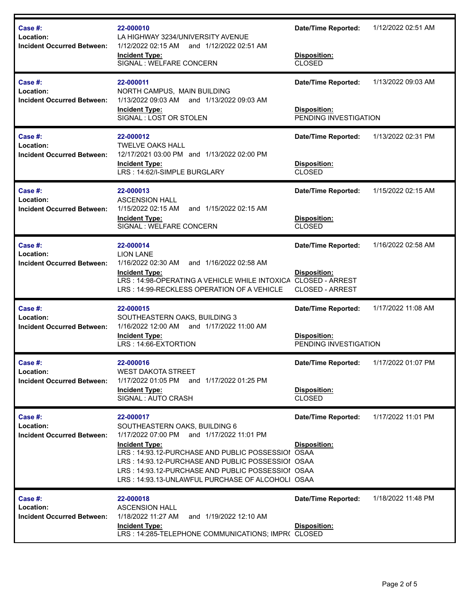| Case #:<br>Location:<br><b>Incident Occurred Between:</b> | 22-000010<br>LA HIGHWAY 3234/UNIVERSITY AVENUE<br>and 1/12/2022 02:51 AM<br>1/12/2022 02:15 AM<br><b>Incident Type:</b><br>SIGNAL: WELFARE CONCERN                                                                                                                                                                                  | <b>Date/Time Reported:</b><br>Disposition:<br><b>CLOSED</b>                                    | 1/12/2022 02:51 AM |
|-----------------------------------------------------------|-------------------------------------------------------------------------------------------------------------------------------------------------------------------------------------------------------------------------------------------------------------------------------------------------------------------------------------|------------------------------------------------------------------------------------------------|--------------------|
| Case #:<br>Location:<br><b>Incident Occurred Between:</b> | 22-000011<br>NORTH CAMPUS, MAIN BUILDING<br>1/13/2022 09:03 AM<br>and 1/13/2022 09:03 AM<br><b>Incident Type:</b><br>SIGNAL: LOST OR STOLEN                                                                                                                                                                                         | Date/Time Reported:<br>Disposition:<br>PENDING INVESTIGATION                                   | 1/13/2022 09:03 AM |
| Case #:<br>Location:<br><b>Incident Occurred Between:</b> | 22-000012<br><b>TWELVE OAKS HALL</b><br>12/17/2021 03:00 PM and 1/13/2022 02:00 PM<br><b>Incident Type:</b><br>LRS: 14:62/I-SIMPLE BURGLARY                                                                                                                                                                                         | <b>Date/Time Reported:</b><br>Disposition:<br><b>CLOSED</b>                                    | 1/13/2022 02:31 PM |
| Case #:<br>Location:<br><b>Incident Occurred Between:</b> | 22-000013<br><b>ASCENSION HALL</b><br>1/15/2022 02:15 AM<br>and 1/15/2022 02:15 AM<br><b>Incident Type:</b><br>SIGNAL: WELFARE CONCERN                                                                                                                                                                                              | <b>Date/Time Reported:</b><br>Disposition:<br><b>CLOSED</b>                                    | 1/15/2022 02:15 AM |
| Case #:<br>Location:<br><b>Incident Occurred Between:</b> | 22-000014<br><b>LION LANE</b><br>1/16/2022 02:30 AM<br>and 1/16/2022 02:58 AM<br><b>Incident Type:</b><br>LRS: 14:98-OPERATING A VEHICLE WHILE INTOXICA<br>LRS: 14:99-RECKLESS OPERATION OF A VEHICLE                                                                                                                               | <b>Date/Time Reported:</b><br>Disposition:<br><b>CLOSED - ARREST</b><br><b>CLOSED - ARREST</b> | 1/16/2022 02:58 AM |
| Case #:<br>Location:<br><b>Incident Occurred Between:</b> | 22-000015<br>SOUTHEASTERN OAKS, BUILDING 3<br>and 1/17/2022 11:00 AM<br>1/16/2022 12:00 AM<br><b>Incident Type:</b><br>LRS: 14:66-EXTORTION                                                                                                                                                                                         | <b>Date/Time Reported:</b><br><b>Disposition:</b><br>PENDING INVESTIGATION                     | 1/17/2022 11:08 AM |
| Case #:<br>Location:<br><b>Incident Occurred Between:</b> | 22-000016<br><b>WEST DAKOTA STREET</b><br>1/17/2022 01:05 PM<br>and 1/17/2022 01:25 PM<br><b>Incident Type:</b><br>SIGNAL : AUTO CRASH                                                                                                                                                                                              | <b>Date/Time Reported:</b><br>Disposition:<br><b>CLOSED</b>                                    | 1/17/2022 01:07 PM |
| Case #:<br>Location:<br><b>Incident Occurred Between:</b> | 22-000017<br>SOUTHEASTERN OAKS, BUILDING 6<br>1/17/2022 07:00 PM and 1/17/2022 11:01 PM<br><b>Incident Type:</b><br>LRS: 14:93.12-PURCHASE AND PUBLIC POSSESSIOI OSAA<br>LRS: 14:93.12-PURCHASE AND PUBLIC POSSESSIOI OSAA<br>LRS: 14:93.12-PURCHASE AND PUBLIC POSSESSIOI OSAA<br>LRS: 14:93.13-UNLAWFUL PURCHASE OF ALCOHOLI OSAA | Date/Time Reported:<br>Disposition:                                                            | 1/17/2022 11:01 PM |
| Case #:<br>Location:<br><b>Incident Occurred Between:</b> | 22-000018<br><b>ASCENSION HALL</b><br>1/18/2022 11:27 AM<br>and 1/19/2022 12:10 AM<br><b>Incident Type:</b><br>LRS: 14:285-TELEPHONE COMMUNICATIONS; IMPR( CLOSED                                                                                                                                                                   | <b>Date/Time Reported:</b><br>Disposition:                                                     | 1/18/2022 11:48 PM |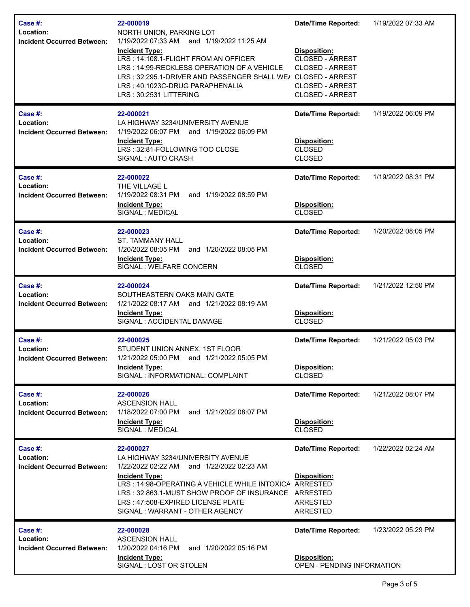| Case #:<br>Location:<br><b>Incident Occurred Between:</b> | 22-000019<br>NORTH UNION, PARKING LOT<br>1/19/2022 07:33 AM<br>and 1/19/2022 11:25 AM<br><b>Incident Type:</b><br>LRS: 14:108.1-FLIGHT FROM AN OFFICER<br>LRS: 14:99-RECKLESS OPERATION OF A VEHICLE<br>LRS: 32:295.1-DRIVER AND PASSENGER SHALL WE/ CLOSED - ARREST<br>LRS: 40:1023C-DRUG PARAPHENALIA<br>LRS: 30:2531 LITTERING | <b>Date/Time Reported:</b><br><b>Disposition:</b><br><b>CLOSED - ARREST</b><br><b>CLOSED - ARREST</b><br><b>CLOSED - ARREST</b><br><b>CLOSED - ARREST</b> | 1/19/2022 07:33 AM |
|-----------------------------------------------------------|-----------------------------------------------------------------------------------------------------------------------------------------------------------------------------------------------------------------------------------------------------------------------------------------------------------------------------------|-----------------------------------------------------------------------------------------------------------------------------------------------------------|--------------------|
| Case #:<br>Location:<br><b>Incident Occurred Between:</b> | 22-000021<br>LA HIGHWAY 3234/UNIVERSITY AVENUE<br>1/19/2022 06:07 PM and 1/19/2022 06:09 PM<br><b>Incident Type:</b><br>LRS: 32:81-FOLLOWING TOO CLOSE<br>SIGNAL: AUTO CRASH                                                                                                                                                      | <b>Date/Time Reported:</b><br><b>Disposition:</b><br><b>CLOSED</b><br><b>CLOSED</b>                                                                       | 1/19/2022 06:09 PM |
| Case #:<br>Location:<br><b>Incident Occurred Between:</b> | 22-000022<br>THE VILLAGE L<br>1/19/2022 08:31 PM<br>and 1/19/2022 08:59 PM<br><b>Incident Type:</b><br>SIGNAL : MEDICAL                                                                                                                                                                                                           | <b>Date/Time Reported:</b><br>Disposition:<br><b>CLOSED</b>                                                                                               | 1/19/2022 08:31 PM |
| Case #:<br>Location:<br><b>Incident Occurred Between:</b> | 22-000023<br><b>ST. TAMMANY HALL</b><br>1/20/2022 08:05 PM<br>and 1/20/2022 08:05 PM<br><b>Incident Type:</b><br>SIGNAL : WELFARE CONCERN                                                                                                                                                                                         | <b>Date/Time Reported:</b><br>Disposition:<br><b>CLOSED</b>                                                                                               | 1/20/2022 08:05 PM |
| Case #:<br>Location:<br><b>Incident Occurred Between:</b> | 22-000024<br>SOUTHEASTERN OAKS MAIN GATE<br>1/21/2022 08:17 AM and 1/21/2022 08:19 AM<br><b>Incident Type:</b><br>SIGNAL : ACCIDENTAL DAMAGE                                                                                                                                                                                      | <b>Date/Time Reported:</b><br>Disposition:<br><b>CLOSED</b>                                                                                               | 1/21/2022 12:50 PM |
| Case #:<br>Location:<br><b>Incident Occurred Between:</b> | 22-000025<br>STUDENT UNION ANNEX, 1ST FLOOR<br>1/21/2022 05:00 PM and 1/21/2022 05:05 PM<br><b>Incident Type:</b><br>SIGNAL : INFORMATIONAL: COMPLAINT                                                                                                                                                                            | <b>Date/Time Reported:</b><br>Disposition:<br><b>CLOSED</b>                                                                                               | 1/21/2022 05:03 PM |
| Case #:<br>Location:<br><b>Incident Occurred Between:</b> | 22-000026<br><b>ASCENSION HALL</b><br>1/18/2022 07:00 PM<br>and 1/21/2022 08:07 PM<br><b>Incident Type:</b><br>SIGNAL : MEDICAL                                                                                                                                                                                                   | <b>Date/Time Reported:</b><br>Disposition:<br><b>CLOSED</b>                                                                                               | 1/21/2022 08:07 PM |
| Case #:<br>Location:<br><b>Incident Occurred Between:</b> | 22-000027<br>LA HIGHWAY 3234/UNIVERSITY AVENUE<br>1/22/2022 02:22 AM<br>and 1/22/2022 02:23 AM<br><b>Incident Type:</b><br>LRS: 14:98-OPERATING A VEHICLE WHILE INTOXICA ARRESTED<br>LRS: 32:863.1-MUST SHOW PROOF OF INSURANCE ARRESTED<br>LRS: 47:508-EXPIRED LICENSE PLATE<br>SIGNAL: WARRANT - OTHER AGENCY                   | <b>Date/Time Reported:</b><br>Disposition:<br><b>ARRESTED</b><br><b>ARRESTED</b>                                                                          | 1/22/2022 02:24 AM |
| Case #:<br>Location:<br><b>Incident Occurred Between:</b> | 22-000028<br><b>ASCENSION HALL</b><br>1/20/2022 04:16 PM<br>and 1/20/2022 05:16 PM<br><b>Incident Type:</b><br>SIGNAL: LOST OR STOLEN                                                                                                                                                                                             | <b>Date/Time Reported:</b><br><b>Disposition:</b><br>OPEN - PENDING INFORMATION                                                                           | 1/23/2022 05:29 PM |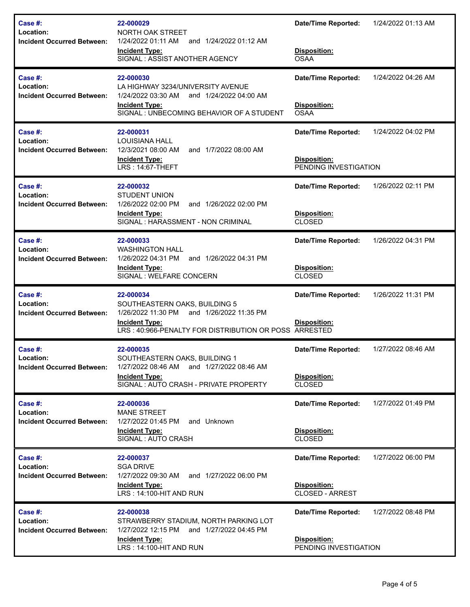| Case #:<br>Location:<br><b>Incident Occurred Between:</b>        | 22-000029<br>NORTH OAK STREET<br>1/24/2022 01:11 AM<br>and 1/24/2022 01:12 AM<br><b>Incident Type:</b><br>SIGNAL: ASSIST ANOTHER AGENCY                                   | <b>Date/Time Reported:</b><br>Disposition:<br><b>OSAA</b>                  | 1/24/2022 01:13 AM |
|------------------------------------------------------------------|---------------------------------------------------------------------------------------------------------------------------------------------------------------------------|----------------------------------------------------------------------------|--------------------|
| Case #:<br>Location:<br><b>Incident Occurred Between:</b>        | 22-000030<br>LA HIGHWAY 3234/UNIVERSITY AVENUE<br>1/24/2022 03:30 AM<br>and 1/24/2022 04:00 AM<br><b>Incident Type:</b><br>SIGNAL: UNBECOMING BEHAVIOR OF A STUDENT       | <b>Date/Time Reported:</b><br>Disposition:<br><b>OSAA</b>                  | 1/24/2022 04:26 AM |
| Case #:<br>Location:<br><b>Incident Occurred Between:</b>        | 22-000031<br><b>LOUISIANA HALL</b><br>12/3/2021 08:00 AM<br>and 1/7/2022 08:00 AM<br><b>Incident Type:</b><br>LRS: 14:67-THEFT                                            | <b>Date/Time Reported:</b><br><b>Disposition:</b><br>PENDING INVESTIGATION | 1/24/2022 04:02 PM |
| Case #:<br>Location:<br><b>Incident Occurred Between:</b>        | 22-000032<br>STUDENT UNION<br>1/26/2022 02:00 PM<br>and 1/26/2022 02:00 PM<br><b>Incident Type:</b><br>SIGNAL : HARASSMENT - NON CRIMINAL                                 | <b>Date/Time Reported:</b><br>Disposition:<br><b>CLOSED</b>                | 1/26/2022 02:11 PM |
| <b>Case #:</b><br>Location:<br><b>Incident Occurred Between:</b> | 22-000033<br><b>WASHINGTON HALL</b><br>1/26/2022 04:31 PM<br>and 1/26/2022 04:31 PM<br><b>Incident Type:</b><br>SIGNAL : WELFARE CONCERN                                  | <b>Date/Time Reported:</b><br>Disposition:<br><b>CLOSED</b>                | 1/26/2022 04:31 PM |
| <b>Case #:</b><br>Location:<br><b>Incident Occurred Between:</b> | 22-000034<br>SOUTHEASTERN OAKS, BUILDING 5<br>1/26/2022 11:30 PM and 1/26/2022 11:35 PM<br><b>Incident Type:</b><br>LRS: 40:966-PENALTY FOR DISTRIBUTION OR POSS ARRESTED | <b>Date/Time Reported:</b><br><b>Disposition:</b>                          | 1/26/2022 11:31 PM |
| <b>Case #:</b><br>Location:<br><b>Incident Occurred Between:</b> | 22-000035<br>SOUTHEASTERN OAKS, BUILDING 1<br>1/27/2022 08:46 AM and 1/27/2022 08:46 AM<br><b>Incident Type:</b><br>SIGNAL: AUTO CRASH - PRIVATE PROPERTY                 | <b>Date/Time Reported:</b><br>Disposition:<br><b>CLOSED</b>                | 1/27/2022 08:46 AM |
| Case #:<br>Location:<br><b>Incident Occurred Between:</b>        | 22-000036<br><b>MANE STREET</b><br>1/27/2022 01:45 PM<br>and Unknown<br><b>Incident Type:</b><br>SIGNAL : AUTO CRASH                                                      | <b>Date/Time Reported:</b><br>Disposition:<br>CLOSED                       | 1/27/2022 01:49 PM |
| Case #:<br>Location:<br><b>Incident Occurred Between:</b>        | 22-000037<br><b>SGA DRIVE</b><br>1/27/2022 09:30 AM<br>and 1/27/2022 06:00 PM<br><b>Incident Type:</b><br>LRS: 14:100-HIT AND RUN                                         | <b>Date/Time Reported:</b><br>Disposition:<br><b>CLOSED - ARREST</b>       | 1/27/2022 06:00 PM |
|                                                                  |                                                                                                                                                                           |                                                                            |                    |